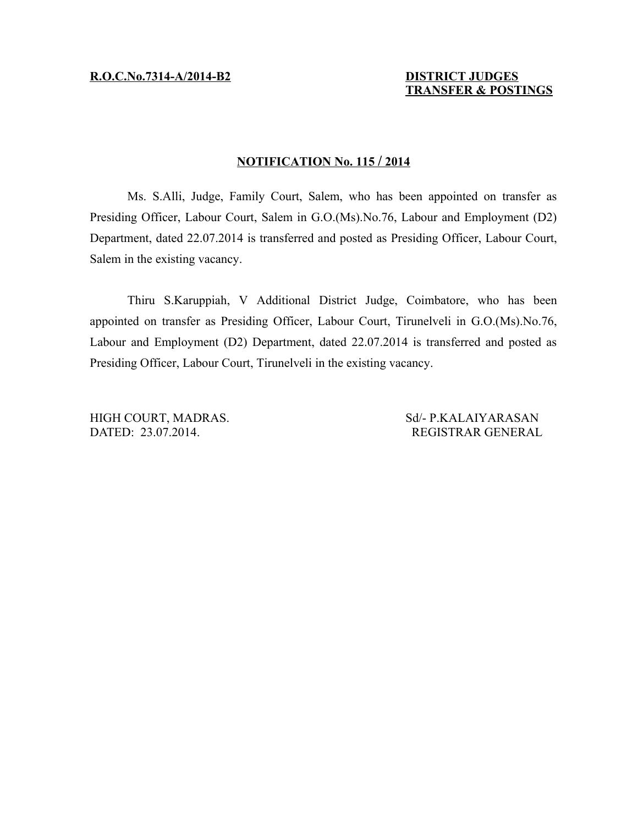## **N OTIFICATION No. 115 / 2014**

Ms. S.Alli, Judge, Family Court, Salem, who has been appointed on transfer as Presiding Officer, Labour Court, Salem in G.O.(Ms).No.76, Labour and Employment (D2) Department, dated 22.07.2014 is transferred and posted as Presiding Officer, Labour Court, Salem in the existing vacancy.

Thiru S.Karuppiah, V Additional District Judge, Coimbatore, who has been appointed on transfer as Presiding Officer, Labour Court, Tirunelveli in G.O.(Ms).No.76, Labour and Employment (D2) Department, dated 22.07.2014 is transferred and posted as Presiding Officer, Labour Court, Tirunelveli in the existing vacancy.

DATED: 23.07.2014. REGISTRAR GENERAL

HIGH COURT, MADRAS. Sd/- P.KALAIYARASAN